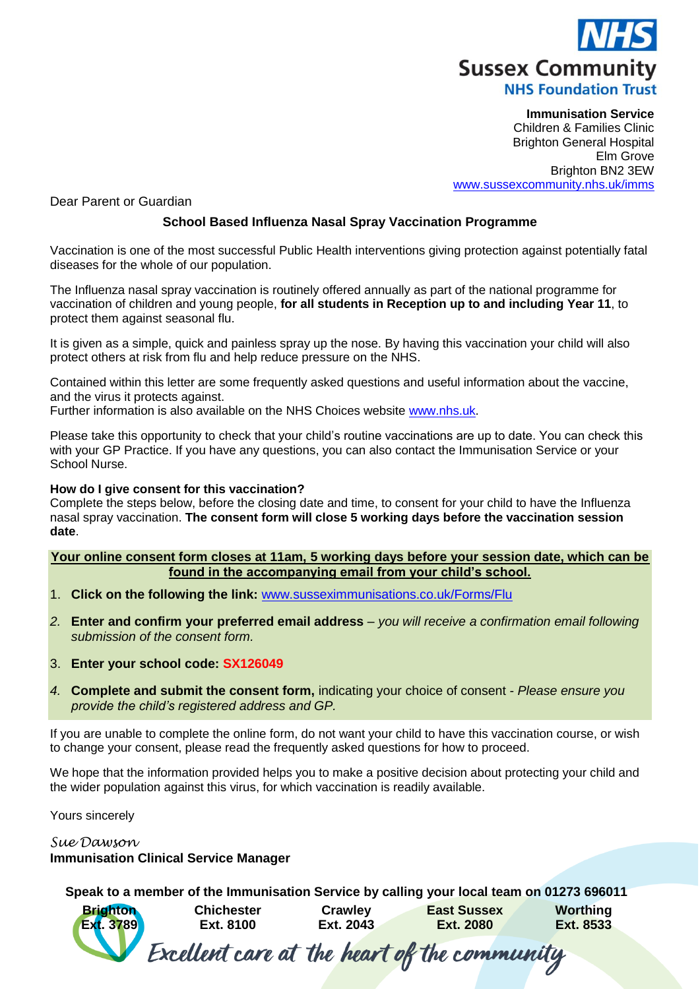

**Immunisation Service** Children & Families Clinic Brighton General Hospital Elm Grove Brighton BN2 3EW [www.sussexcommunity.nhs.uk/imms](http://www.sussexcommunity.nhs.uk/imms)

Dear Parent or Guardian

## **School Based Influenza Nasal Spray Vaccination Programme**

Vaccination is one of the most successful Public Health interventions giving protection against potentially fatal diseases for the whole of our population.

The Influenza nasal spray vaccination is routinely offered annually as part of the national programme for vaccination of children and young people, **for all students in Reception up to and including Year 11**, to protect them against seasonal flu.

It is given as a simple, quick and painless spray up the nose. By having this vaccination your child will also protect others at risk from flu and help reduce pressure on the NHS.

Contained within this letter are some frequently asked questions and useful information about the vaccine, and the virus it protects against.

Further information is also available on the NHS Choices website [www.nhs.uk.](http://www.nhs.uk/)

Please take this opportunity to check that your child's routine vaccinations are up to date. You can check this with your GP Practice. If you have any questions, you can also contact the Immunisation Service or your School Nurse.

### **How do I give consent for this vaccination?**

Complete the steps below, before the closing date and time, to consent for your child to have the Influenza nasal spray vaccination. **The consent form will close 5 working days before the vaccination session date**.

**Your online consent form closes at 11am, 5 working days before your session date, which can be found in the accompanying email from your child's school.**

- 1. **Click on the following the link:** [www.susseximmunisations.co.uk/Forms/Flu](http://www.susseximmunisations.co.uk/Forms/Flu)
- *2.* **Enter and confirm your preferred email address** *you will receive a confirmation email following submission of the consent form.*
- 3. **Enter your school code: SX126049**
- *4.* **Complete and submit the consent form,** indicating your choice of consent *- Please ensure you provide the child's registered address and GP.*

If you are unable to complete the online form, do not want your child to have this vaccination course, or wish to change your consent, please read the frequently asked questions for how to proceed.

We hope that the information provided helps you to make a positive decision about protecting your child and the wider population against this virus, for which vaccination is readily available.

Yours sincerely

*Sue Dawson* 

## **Immunisation Clinical Service Manager**

**Speak to a member of the Immunisation Service by calling your local team on 01273 696011**

**Worthing Brighton Chichester Crawley East Sussex Ext. 8533 Ext. 3789 Ext. 8100 Ext. 2043 Ext. 2080** Excellent care at the heart of the community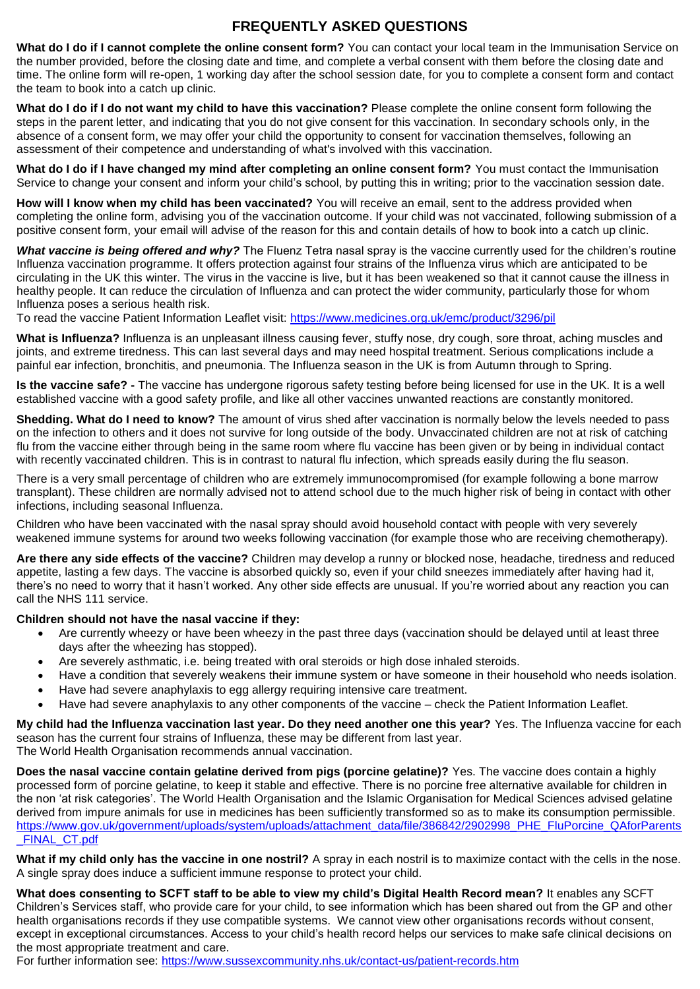# **FREQUENTLY ASKED QUESTIONS**

**What do I do if I cannot complete the online consent form?** You can contact your local team in the Immunisation Service on the number provided, before the closing date and time, and complete a verbal consent with them before the closing date and time. The online form will re-open, 1 working day after the school session date, for you to complete a consent form and contact the team to book into a catch up clinic.

**What do I do if I do not want my child to have this vaccination?** Please complete the online consent form following the steps in the parent letter, and indicating that you do not give consent for this vaccination. In secondary schools only, in the absence of a consent form, we may offer your child the opportunity to consent for vaccination themselves, following an assessment of their competence and understanding of what's involved with this vaccination.

**What do I do if I have changed my mind after completing an online consent form?** You must contact the Immunisation Service to change your consent and inform your child's school, by putting this in writing; prior to the vaccination session date.

**How will I know when my child has been vaccinated?** You will receive an email, sent to the address provided when completing the online form, advising you of the vaccination outcome. If your child was not vaccinated, following submission of a positive consent form, your email will advise of the reason for this and contain details of how to book into a catch up clinic.

*What vaccine is being offered and why?* The Fluenz Tetra nasal spray is the vaccine currently used for the children's routine Influenza vaccination programme. It offers protection against four strains of the Influenza virus which are anticipated to be circulating in the UK this winter. The virus in the vaccine is live, but it has been weakened so that it cannot cause the illness in healthy people. It can reduce the circulation of Influenza and can protect the wider community, particularly those for whom Influenza poses a serious health risk.

To read the vaccine Patient Information Leaflet visit:<https://www.medicines.org.uk/emc/product/3296/pil>

**What is Influenza?** Influenza is an unpleasant illness causing fever, stuffy nose, dry cough, sore throat, aching muscles and joints, and extreme tiredness. This can last several days and may need hospital treatment. Serious complications include a painful ear infection, bronchitis, and pneumonia. The Influenza season in the UK is from Autumn through to Spring.

**Is the vaccine safe? -** The vaccine has undergone rigorous safety testing before being licensed for use in the UK. It is a well established vaccine with a good safety profile, and like all other vaccines unwanted reactions are constantly monitored.

**Shedding. What do I need to know?** The amount of virus shed after vaccination is normally below the levels needed to pass on the infection to others and it does not survive for long outside of the body. Unvaccinated children are not at risk of catching flu from the vaccine either through being in the same room where flu vaccine has been given or by being in individual contact with recently vaccinated children. This is in contrast to natural flu infection, which spreads easily during the flu season.

There is a very small percentage of children who are extremely immunocompromised (for example following a bone marrow transplant). These children are normally advised not to attend school due to the much higher risk of being in contact with other infections, including seasonal Influenza.

Children who have been vaccinated with the nasal spray should avoid household contact with people with very severely weakened immune systems for around two weeks following vaccination (for example those who are receiving chemotherapy).

**Are there any side effects of the vaccine?** Children may develop a runny or blocked nose, headache, tiredness and reduced appetite, lasting a few days. The vaccine is absorbed quickly so, even if your child sneezes immediately after having had it, there's no need to worry that it hasn't worked. Any other side effects are unusual. If you're worried about any reaction you can call the NHS 111 service.

### **Children should not have the nasal vaccine if they:**

- Are currently wheezy or have been wheezy in the past three days (vaccination should be delayed until at least three days after the wheezing has stopped).
- Are severely asthmatic, i.e. being treated with oral steroids or high dose inhaled steroids.
- Have a condition that severely weakens their immune system or have someone in their household who needs isolation.
- Have had severe anaphylaxis to egg allergy requiring intensive care treatment.
- Have had severe anaphylaxis to any other components of the vaccine check the Patient Information Leaflet.

**My child had the Influenza vaccination last year. Do they need another one this year?** Yes. The Influenza vaccine for each season has the current four strains of Influenza, these may be different from last year. The World Health Organisation recommends annual vaccination.

**Does the nasal vaccine contain gelatine derived from pigs (porcine gelatine)?** Yes. The vaccine does contain a highly

processed form of porcine gelatine, to keep it stable and effective. There is no porcine free alternative available for children in the non 'at risk categories'. The World Health Organisation and the Islamic Organisation for Medical Sciences advised gelatine derived from impure animals for use in medicines has been sufficiently transformed so as to make its consumption permissible. [https://www.gov.uk/government/uploads/system/uploads/attachment\\_data/file/386842/2902998\\_PHE\\_FluPorcine\\_QAforParents](https://www.gov.uk/government/uploads/system/uploads/attachment_data/file/386842/2902998_PHE_FluPorcine_QAforParents_FINAL_CT.pdf) [\\_FINAL\\_CT.pdf](https://www.gov.uk/government/uploads/system/uploads/attachment_data/file/386842/2902998_PHE_FluPorcine_QAforParents_FINAL_CT.pdf)

**What if my child only has the vaccine in one nostril?** A spray in each nostril is to maximize contact with the cells in the nose. A single spray does induce a sufficient immune response to protect your child.

**What does consenting to SCFT staff to be able to view my child's Digital Health Record mean?** It enables any SCFT Children's Services staff, who provide care for your child, to see information which has been shared out from the GP and other health organisations records if they use compatible systems. We cannot view other organisations records without consent, except in exceptional circumstances. Access to your child's health record helps our services to make safe clinical decisions on the most appropriate treatment and care.

For further information see:<https://www.sussexcommunity.nhs.uk/contact-us/patient-records.htm>